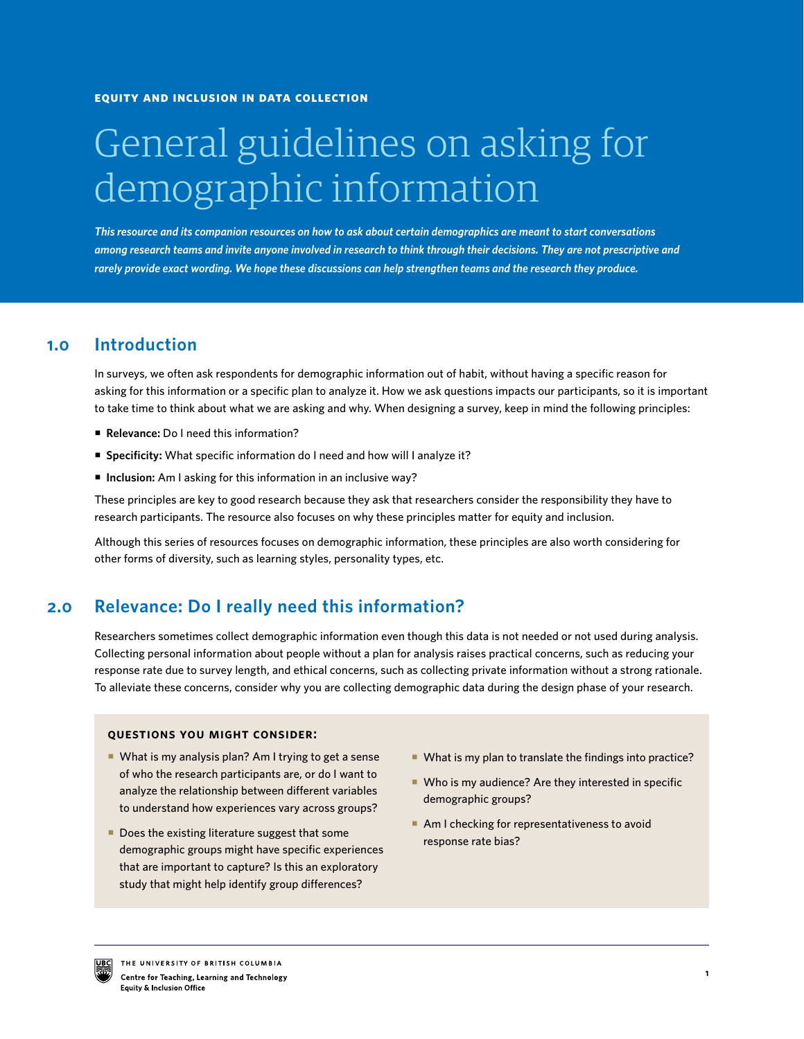# General guidelines on asking for demographic information

*This resource and its companion resources on how to ask about certain demographics are meant to start conversations among research teams and invite anyone involved in research to think through their decisions. They are not prescriptive and rarely provide exact wording. We hope these discussions can help strengthen teams and the research they produce.*

#### **Introduction 1.0**

In surveys, we often ask respondents for demographic information out of habit, without having a specific reason for asking for this information or a specific plan to analyze it. How we ask questions impacts our participants, so it is important to take time to think about what we are asking and why. When designing a survey, keep in mind the following principles:

- **Relevance:** Do I need this information?
- **Specificity:** What specific information do I need and how will I analyze it?
- Inclusion: Am I asking for this information in an inclusive way?

These principles are key to good research because they ask that researchers consider the responsibility they have to research participants. The resource also focuses on why these principles matter for equity and inclusion.

Although this series of resources focuses on demographic information, these principles are also worth considering for other forms of diversity, such as learning styles, personality types, etc.

#### **2.0 Relevance: Do I really need this information?**

Researchers sometimes collect demographic information even though this data is not needed or not used during analysis. Collecting personal information about people without a plan for analysis raises practical concerns, such as reducing your response rate due to survey length, and ethical concerns, such as collecting private information without a strong rationale. To alleviate these concerns, consider why you are collecting demographic data during the design phase of your research.

## **questions you might consider:**

- What is my analysis plan? Am I trying to get a sense of who the research participants are, or do I want to analyze the relationship between different variables to understand how experiences vary across groups?
- Does the existing literature suggest that some demographic groups might have specific experiences that are important to capture? Is this an exploratory study that might help identify group differences?
- What is my plan to translate the findings into practice?
- Who is my audience? Are they interested in specific demographic groups?
- Am I checking for representativeness to avoid response rate bias?

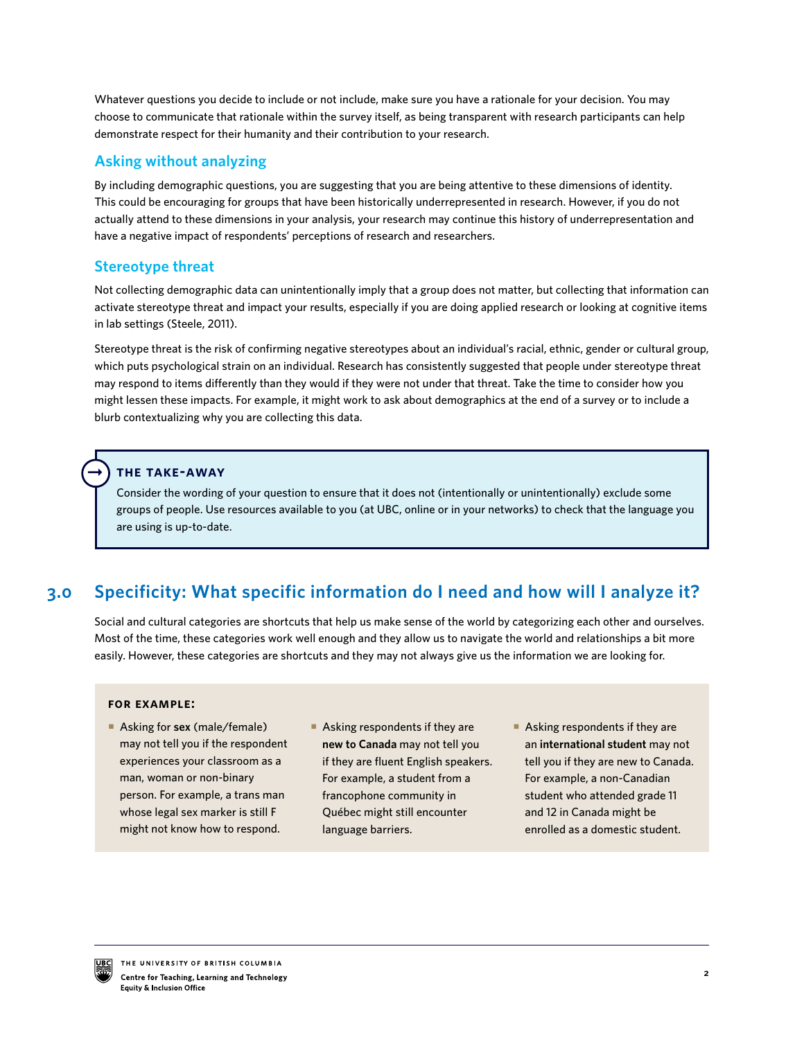Whatever questions you decide to include or not include, make sure you have a rationale for your decision. You may choose to communicate that rationale within the survey itself, as being transparent with research participants can help demonstrate respect for their humanity and their contribution to your research.

# **Asking without analyzing**

By including demographic questions, you are suggesting that you are being attentive to these dimensions of identity. This could be encouraging for groups that have been historically underrepresented in research. However, if you do not actually attend to these dimensions in your analysis, your research may continue this history of underrepresentation and have a negative impact of respondents' perceptions of research and researchers.

# **Stereotype threat**

Not collecting demographic data can unintentionally imply that a group does not matter, but collecting that information can activate stereotype threat and impact your results, especially if you are doing applied research or looking at cognitive items in lab settings (Steele, 2011).

Stereotype threat is the risk of confirming negative stereotypes about an individual's racial, ethnic, gender or cultural group, which puts psychological strain on an individual. Research has consistently suggested that people under stereotype threat may respond to items differently than they would if they were not under that threat. Take the time to consider how you might lessen these impacts. For example, it might work to ask about demographics at the end of a survey or to include a blurb contextualizing why you are collecting this data.

# **the take-away**

 $\rightarrow$ 

Consider the wording of your question to ensure that it does not (intentionally or unintentionally) exclude some groups of people. Use resources available to you (at UBC, online or in your networks) to check that the language you are using is up-to-date.

#### **Specificity: What specific information do I need and how will I analyze it? 3.0**

Social and cultural categories are shortcuts that help us make sense of the world by categorizing each other and ourselves. Most of the time, these categories work well enough and they allow us to navigate the world and relationships a bit more easily. However, these categories are shortcuts and they may not always give us the information we are looking for.

## **for example:**

- Asking for **sex** (male/female) may not tell you if the respondent experiences your classroom as a man, woman or non-binary person. For example, a trans man whose legal sex marker is still F might not know how to respond.
- Asking respondents if they are **new to Canada** may not tell you if they are fluent English speakers. For example, a student from a francophone community in Québec might still encounter language barriers.
- Asking respondents if they are an **international student** may not tell you if they are new to Canada. For example, a non-Canadian student who attended grade 11 and 12 in Canada might be enrolled as a domestic student.

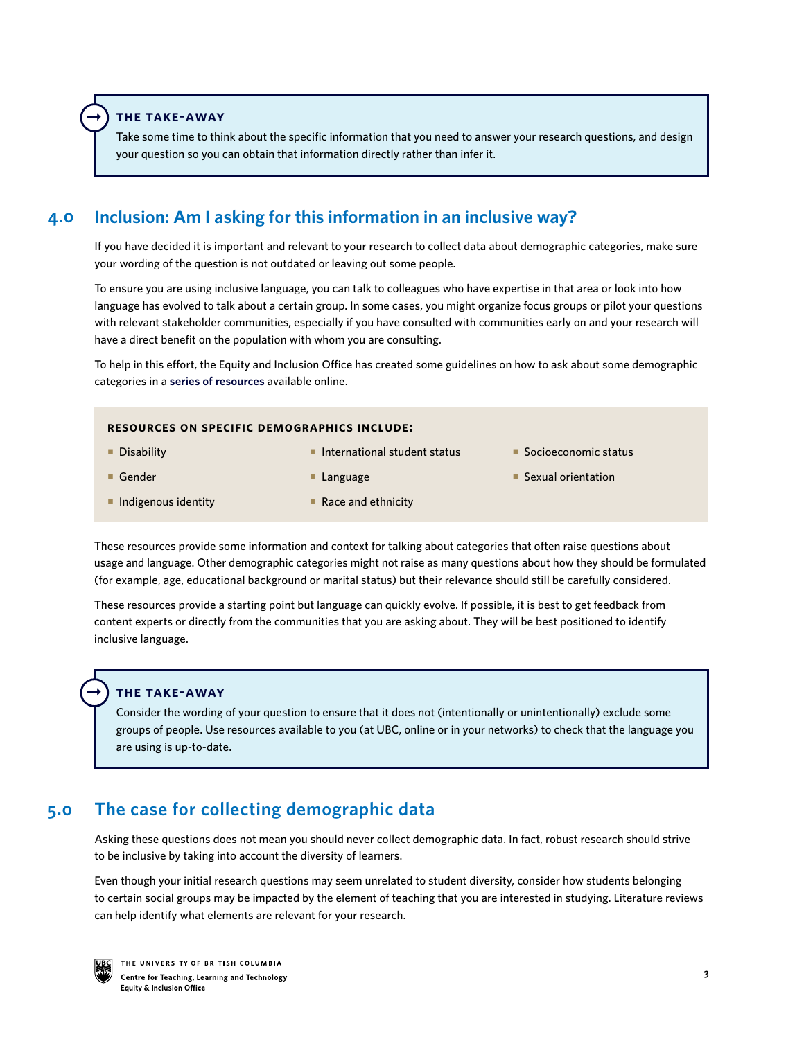**the take-away**

 $\rightarrow$ 

Take some time to think about the specific information that you need to answer your research questions, and design your question so you can obtain that information directly rather than infer it.

#### **Inclusion: Am I asking for this information in an inclusive way? 4.0**

If you have decided it is important and relevant to your research to collect data about demographic categories, make sure your wording of the question is not outdated or leaving out some people.

To ensure you are using inclusive language, you can talk to colleagues who have expertise in that area or look into how language has evolved to talk about a certain group. In some cases, you might organize focus groups or pilot your questions with relevant stakeholder communities, especially if you have consulted with communities early on and your research will have a direct benefit on the population with whom you are consulting.

To help in this effort, the Equity and Inclusion Office has created some guidelines on how to ask about some demographic categories in a **[series of resources](https://isotl.ctlt.ubc.ca/resources/research-and-evaluation/)** available online.

|                                    | <b>RESOURCES ON SPECIFIC DEMOGRAPHICS INCLUDE:</b> |                        |  |
|------------------------------------|----------------------------------------------------|------------------------|--|
| $\blacksquare$ Disability          | $\blacksquare$ International student status        | ■ Socioeconomic status |  |
| $\blacksquare$ Gender              | $\blacksquare$ Language                            | ■ Sexual orientation   |  |
| $\blacksquare$ Indigenous identity | $\blacksquare$ Race and ethnicity                  |                        |  |

These resources provide some information and context for talking about categories that often raise questions about usage and language. Other demographic categories might not raise as many questions about how they should be formulated (for example, age, educational background or marital status) but their relevance should still be carefully considered.

These resources provide a starting point but language can quickly evolve. If possible, it is best to get feedback from content experts or directly from the communities that you are asking about. They will be best positioned to identify inclusive language.

## **the take-away**

Consider the wording of your question to ensure that it does not (intentionally or unintentionally) exclude some groups of people. Use resources available to you (at UBC, online or in your networks) to check that the language you are using is up-to-date.

#### **The case for collecting demographic data 5.0**

Asking these questions does not mean you should never collect demographic data. In fact, robust research should strive to be inclusive by taking into account the diversity of learners.

Even though your initial research questions may seem unrelated to student diversity, consider how students belonging to certain social groups may be impacted by the element of teaching that you are interested in studying. Literature reviews can help identify what elements are relevant for your research.



 $\rightarrow$